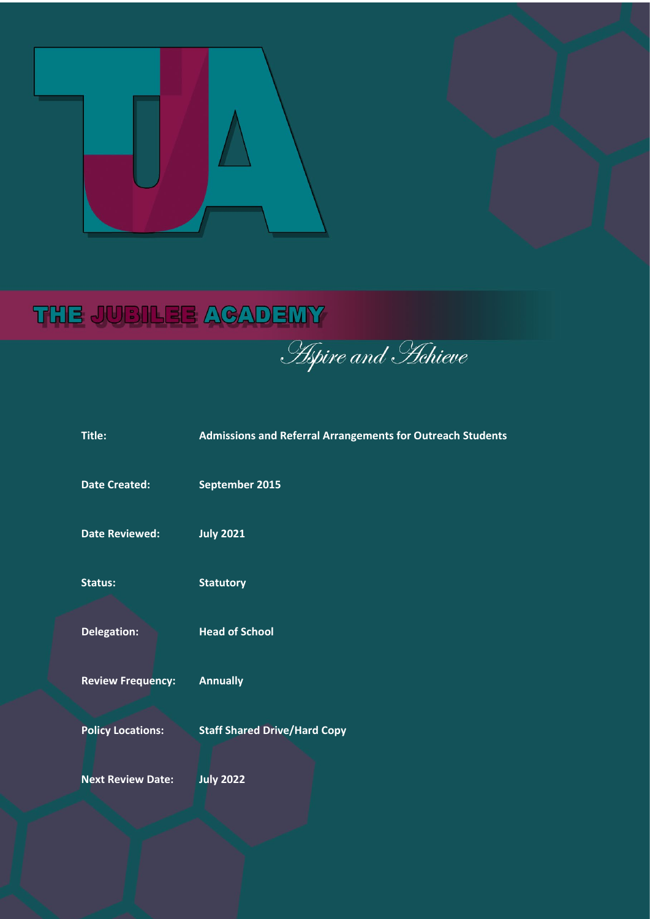

# THE JUBILEE ACADEMY

Aspire and Hehieve

| Title:                   | <b>Admissions and Referral Arrangements for Outreach Students</b> |
|--------------------------|-------------------------------------------------------------------|
| <b>Date Created:</b>     | September 2015                                                    |
| <b>Date Reviewed:</b>    | <b>July 2021</b>                                                  |
| <b>Status:</b>           | <b>Statutory</b>                                                  |
| Delegation:              | <b>Head of School</b>                                             |
| <b>Review Frequency:</b> | <b>Annually</b>                                                   |
| <b>Policy Locations:</b> | <b>Staff Shared Drive/Hard Copy</b>                               |
| <b>Next Review Date:</b> | <b>July 2022</b>                                                  |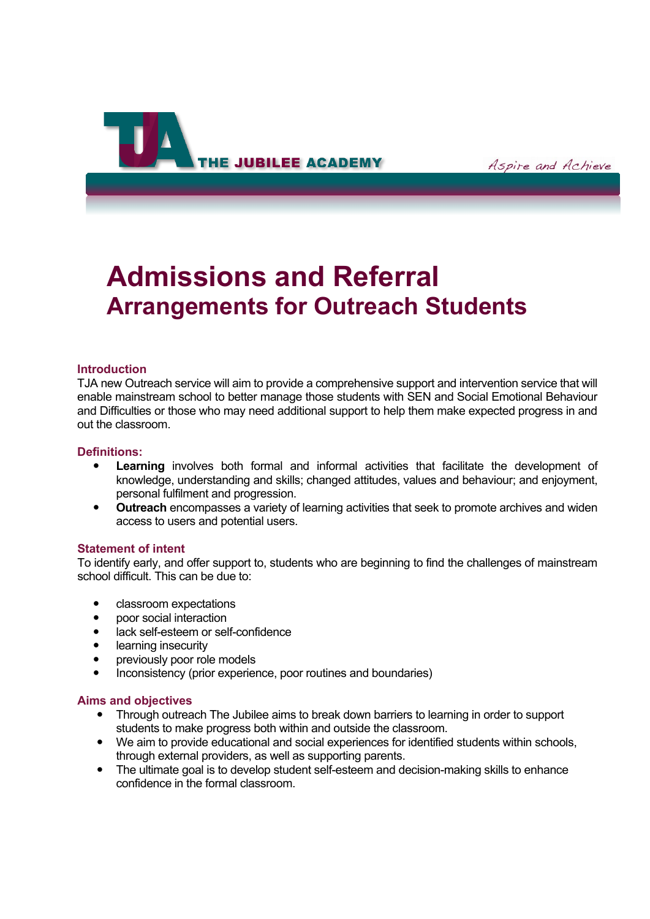

# **Admissions and Referral Arrangements for Outreach Students**

#### **Introduction**

TJA new Outreach service will aim to provide a comprehensive support and intervention service that will enable mainstream school to better manage those students with SEN and Social Emotional Behaviour and Difficulties or those who may need additional support to help them make expected progress in and out the classroom.

#### **Definitions:**

- **Learning** involves both formal and informal activities that facilitate the development of knowledge, understanding and skills; changed attitudes, values and behaviour; and enjoyment, personal fulfilment and progression.
- **Outreach** encompasses a variety of learning activities that seek to promote archives and widen access to users and potential users.

#### **Statement of intent**

To identify early, and offer support to, students who are beginning to find the challenges of mainstream school difficult. This can be due to:

- classroom expectations
- poor social interaction
- lack self-esteem or self-confidence
- learning insecurity
- previously poor role models
- Inconsistency (prior experience, poor routines and boundaries)

#### **Aims and objectives**

- Through outreach The Jubilee aims to break down barriers to learning in order to support students to make progress both within and outside the classroom.
- We aim to provide educational and social experiences for identified students within schools, through external providers, as well as supporting parents.
- The ultimate goal is to develop student self-esteem and decision-making skills to enhance confidence in the formal classroom.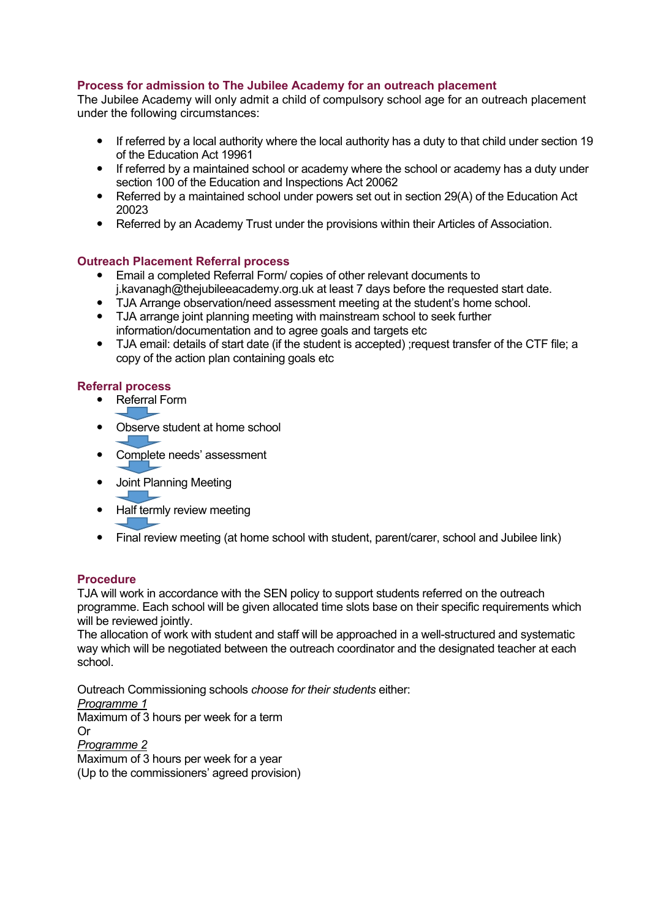# **Process for admission to The Jubilee Academy for an outreach placement**

The Jubilee Academy will only admit a child of compulsory school age for an outreach placement under the following circumstances:

- If referred by a local authority where the local authority has a duty to that child under section 19 of the Education Act 19961
- If referred by a maintained school or academy where the school or academy has a duty under section 100 of the Education and Inspections Act 20062
- Referred by a maintained school under powers set out in section 29(A) of the Education Act 20023
- Referred by an Academy Trust under the provisions within their Articles of Association.

# **Outreach Placement Referral process**

- Email a completed Referral Form/ copies of other relevant documents to [j.kavanagh@thejubileeacademy.org.uk](mailto:j.kavanagh@thejubileeacademy.org.uk) at least 7 days before the requested start date.
- TJA Arrange observation/need assessment meeting at the student's home school.
- TJA arrange joint planning meeting with mainstream school to seek further information/documentation and to agree goals and targets etc
- TJA email: details of start date (if the student is accepted) ;request transfer of the CTF file; a copy of the action plan containing goals etc

### **Referral process**

- Referral Form í
- Observe student at home school
- Complete needs' assessment Ì
- Joint Planning Meeting
- ì • Half termly review meeting
- Final review meeting (at home school with student, parent/carer, school and Jubilee link)

# **Procedure**

TJA will work in accordance with the SEN policy to support students referred on the outreach programme. Each school will be given allocated time slots base on their specific requirements which will be reviewed jointly.

The allocation of work with student and staff will be approached in a well-structured and systematic way which will be negotiated between the outreach coordinator and the designated teacher at each school.

Outreach Commissioning schools *choose for their students* either: *Programme 1*  Maximum of 3 hours per week for a term Or *Programme 2* Maximum of 3 hours per week for a year (Up to the commissioners' agreed provision)